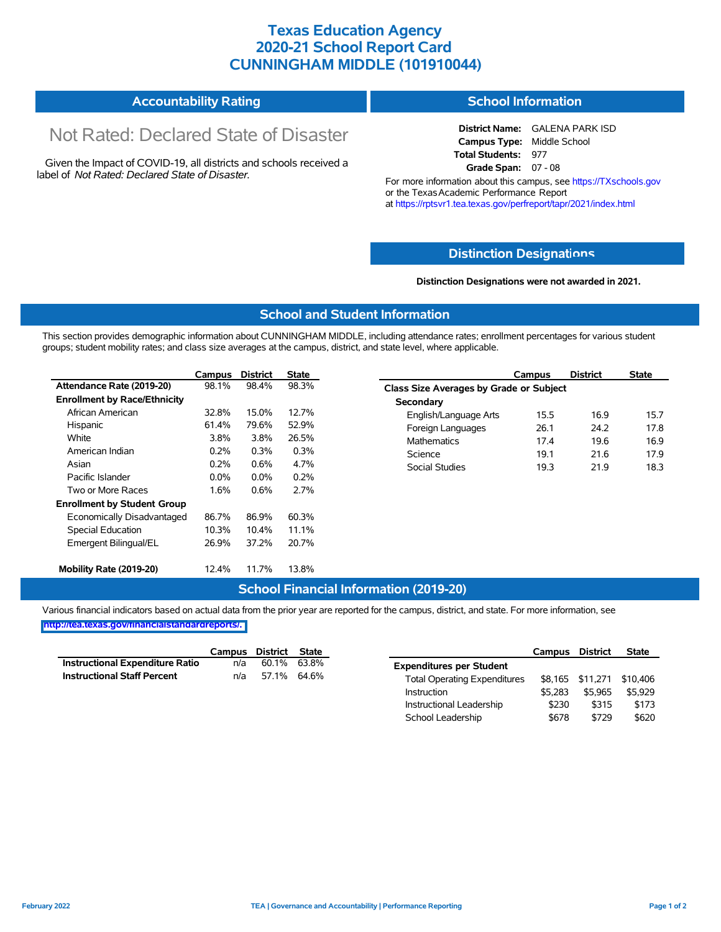## **Texas Education Agency 2020-21 School Report Card CUNNINGHAM MIDDLE (101910044)**

| <b>Accountability Rating</b> | <b>School Information</b> |
|------------------------------|---------------------------|
|------------------------------|---------------------------|

# Not Rated: Declared State of Disaster

Given the Impact of COVID-19, all districts and schools received a label of *Not Rated: Declared State of Disaster.*

**District Name:** GALENA PARK ISD **Campus Type:** Middle School **Total Students:** 977 **Grade Span:** 07 - 08

For more information about this campus, see https://TXschools.gov or the Texas Academic Performance Report at https://rptsvr1.tea.texas.gov/perfreport/tapr/2021/index.html

#### **Distinction Designat[ions](https://TXschools.gov)**

**Distinction Designations were not awarded in 2021.**

School Leadership  $$678$  \$729 \$620

#### **School and Student Information**

This section provides demographic information about CUNNINGHAM MIDDLE, including attendance rates; enrollment percentages for various student groups; student mobility rates; and class size averages at the campus, district, and state level, where applicable.

|                                     | Campus  | <b>District</b> | <b>State</b> | Campus                                  | <b>District</b> | <b>State</b> |  |  |
|-------------------------------------|---------|-----------------|--------------|-----------------------------------------|-----------------|--------------|--|--|
| Attendance Rate (2019-20)           | 98.1%   | 98.4%           | 98.3%        | Class Size Averages by Grade or Subject |                 |              |  |  |
| <b>Enrollment by Race/Ethnicity</b> |         |                 |              | Secondary                               |                 |              |  |  |
| African American                    | 32.8%   | 15.0%           | 12.7%        | English/Language Arts<br>15.5           | 16.9            |              |  |  |
| Hispanic                            | 61.4%   | 79.6%           | 52.9%        | 26.1<br>Foreign Languages               | 24.2            |              |  |  |
| White                               | 3.8%    | 3.8%            | 26.5%        | <b>Mathematics</b><br>17.4              | 19.6            |              |  |  |
| American Indian                     | 0.2%    | 0.3%            | 0.3%         | Science<br>19.1                         | 21.6            |              |  |  |
| Asian                               | 0.2%    | 0.6%            | 4.7%         | 19.3<br>Social Studies                  | 21.9            |              |  |  |
| Pacific Islander                    | $0.0\%$ | $0.0\%$         | 0.2%         |                                         |                 |              |  |  |
| Two or More Races                   | 1.6%    | 0.6%            | 2.7%         |                                         |                 |              |  |  |
| <b>Enrollment by Student Group</b>  |         |                 |              |                                         |                 |              |  |  |
| Economically Disadvantaged          | 86.7%   | 86.9%           | 60.3%        |                                         |                 |              |  |  |
| Special Education                   | 10.3%   | 10.4%           | 11.1%        |                                         |                 |              |  |  |
| Emergent Bilingual/EL               | 26.9%   | 37.2%           | 20.7%        |                                         |                 |              |  |  |
| Mobility Rate (2019-20)             | 12.4%   | 11.7%           | 13.8%        |                                         |                 |              |  |  |

#### **School Financial Information (2019-20)**

Various financial indicators based on actual data from the prior year are reported for the campus, district, and state. For more information, see

**[http://tea.texas.gov/financialstandardreports/.](http://tea.texas.gov/financialstandardreports/)**

|                                    | Campus | District | <b>State</b> |                                     | Campus  | <b>District</b>  | <b>State</b> |
|------------------------------------|--------|----------|--------------|-------------------------------------|---------|------------------|--------------|
| Instructional Expenditure Ratio    | n/a    | 60.1%    | 63.8%        | <b>Expenditures per Student</b>     |         |                  |              |
| <b>Instructional Staff Percent</b> | n/a    |          | 57.1% 64.6%  | <b>Total Operating Expenditures</b> |         | \$8,165 \$11,271 | \$10.406     |
|                                    |        |          |              | Instruction                         | \$5.283 | \$5.965          | \$5,929      |
|                                    |        |          |              | Instructional Leadership            | \$230   | \$315            | \$173        |